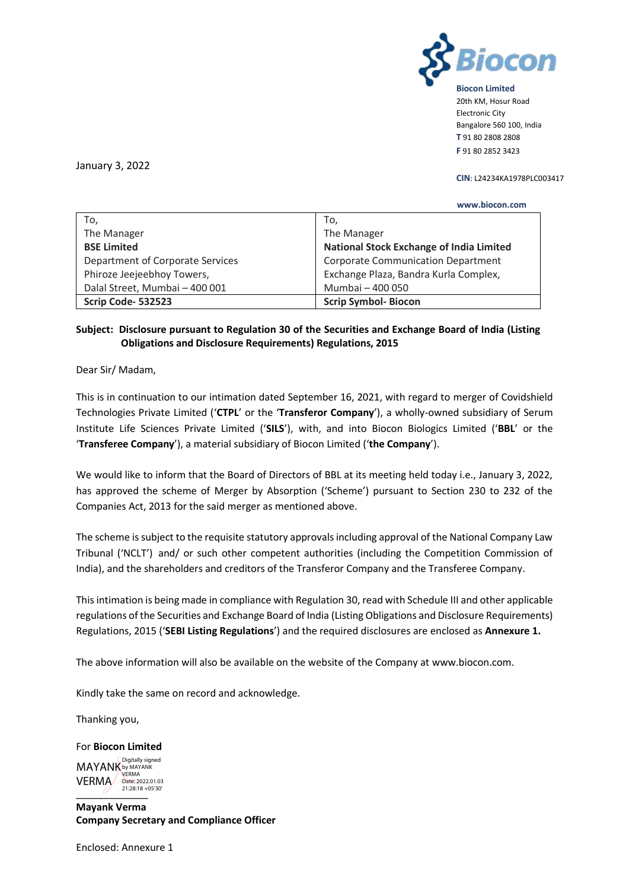

**Biocon Limited** 20th KM, Hosur Road Electronic City Bangalore 560 100, India **T** 91 80 2808 2808 **F** 91 80 2852 3423

January 3, 2022

## **CIN**: L24234KA1978PLC003417

|                                  | www.biocon.com                            |
|----------------------------------|-------------------------------------------|
| To,                              | To,                                       |
| The Manager                      | The Manager                               |
| <b>BSE Limited</b>               | National Stock Exchange of India Limited  |
| Department of Corporate Services | <b>Corporate Communication Department</b> |
| Phiroze Jeejeebhoy Towers,       | Exchange Plaza, Bandra Kurla Complex,     |
| Dalal Street, Mumbai - 400 001   | Mumbai - 400 050                          |
| Scrip Code-532523                | <b>Scrip Symbol-Biocon</b>                |

## **Subject: Disclosure pursuant to Regulation 30 of the Securities and Exchange Board of India (Listing Obligations and Disclosure Requirements) Regulations, 2015**

Dear Sir/ Madam,

This is in continuation to our intimation dated September 16, 2021, with regard to merger of Covidshield Technologies Private Limited ('**CTPL**' or the '**Transferor Company**'), a wholly-owned subsidiary of Serum Institute Life Sciences Private Limited ('**SILS**'), with, and into Biocon Biologics Limited ('**BBL**' or the '**Transferee Company**'), a material subsidiary of Biocon Limited ('**the Company**').

We would like to inform that the Board of Directors of BBL at its meeting held today i.e., January 3, 2022, has approved the scheme of Merger by Absorption ('Scheme') pursuant to Section 230 to 232 of the Companies Act, 2013 for the said merger as mentioned above.

The scheme is subject to the requisite statutory approvals including approval of the National Company Law Tribunal ('NCLT') and/ or such other competent authorities (including the Competition Commission of India), and the shareholders and creditors of the Transferor Company and the Transferee Company.

This intimation is being made in compliance with Regulation 30, read with Schedule III and other applicable regulations of the Securities and Exchange Board of India (Listing Obligations and Disclosure Requirements) Regulations, 2015 ('**SEBI Listing Regulations**') and the required disclosures are enclosed as **Annexure 1.**

The above information will also be available on the website of the Company at [www.biocon.com.](http://www.biocon.com/)

Kindly take the same on record and acknowledge.

Thanking you,

For **Biocon Limited**  $21:28:18 + 05'30'$ MAYANK by MAYANK **VERMA** Date: 2022.01.03 Digitally signed

**Mayank Verma Company Secretary and Compliance Officer**

Enclosed: Annexure 1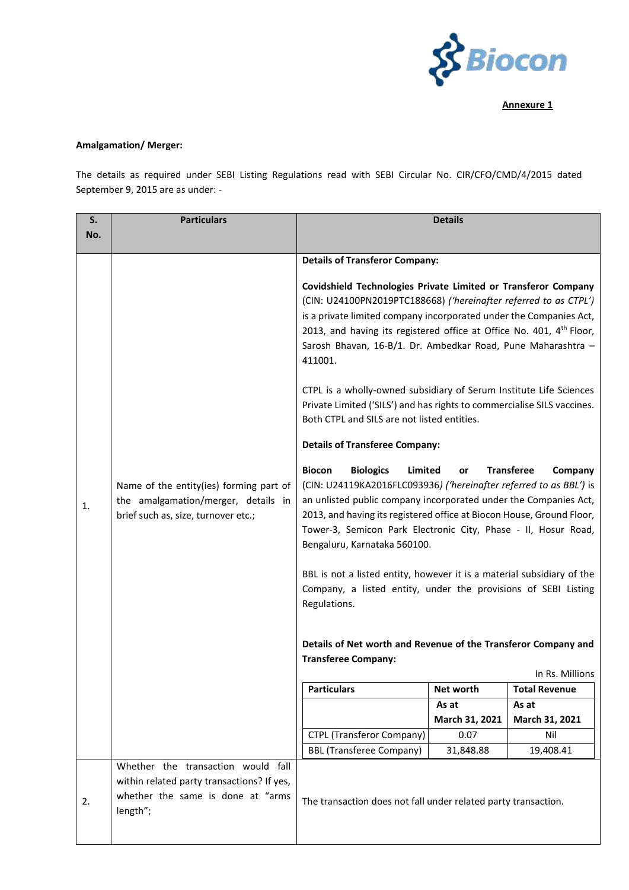

**Annexure 1**

## **Amalgamation/ Merger:**

The details as required under SEBI Listing Regulations read with SEBI Circular No. CIR/CFO/CMD/4/2015 dated September 9, 2015 are as under: -

| S.  | <b>Particulars</b>                                                                                                                |                                                                                                                                                                                                                                                                                                                                                                                                                                                                                                                                                                                                                                                                                        | <b>Details</b> |                      |
|-----|-----------------------------------------------------------------------------------------------------------------------------------|----------------------------------------------------------------------------------------------------------------------------------------------------------------------------------------------------------------------------------------------------------------------------------------------------------------------------------------------------------------------------------------------------------------------------------------------------------------------------------------------------------------------------------------------------------------------------------------------------------------------------------------------------------------------------------------|----------------|----------------------|
| No. |                                                                                                                                   |                                                                                                                                                                                                                                                                                                                                                                                                                                                                                                                                                                                                                                                                                        |                |                      |
|     |                                                                                                                                   |                                                                                                                                                                                                                                                                                                                                                                                                                                                                                                                                                                                                                                                                                        |                |                      |
|     | Name of the entity(ies) forming part of<br>the amalgamation/merger, details in<br>brief such as, size, turnover etc.;             | <b>Details of Transferor Company:</b>                                                                                                                                                                                                                                                                                                                                                                                                                                                                                                                                                                                                                                                  |                |                      |
| 1.  |                                                                                                                                   | Covidshield Technologies Private Limited or Transferor Company<br>(CIN: U24100PN2019PTC188668) ('hereinafter referred to as CTPL')<br>is a private limited company incorporated under the Companies Act,<br>2013, and having its registered office at Office No. 401, 4 <sup>th</sup> Floor,<br>Sarosh Bhavan, 16-B/1. Dr. Ambedkar Road, Pune Maharashtra -<br>411001.                                                                                                                                                                                                                                                                                                                |                |                      |
|     |                                                                                                                                   | CTPL is a wholly-owned subsidiary of Serum Institute Life Sciences<br>Private Limited ('SILS') and has rights to commercialise SILS vaccines.<br>Both CTPL and SILS are not listed entities.                                                                                                                                                                                                                                                                                                                                                                                                                                                                                           |                |                      |
|     |                                                                                                                                   | <b>Details of Transferee Company:</b>                                                                                                                                                                                                                                                                                                                                                                                                                                                                                                                                                                                                                                                  |                |                      |
|     |                                                                                                                                   | <b>Biologics</b><br><b>Transferee</b><br><b>Biocon</b><br>Limited<br>Company<br>or<br>(CIN: U24119KA2016FLC093936) ('hereinafter referred to as BBL') is<br>an unlisted public company incorporated under the Companies Act,<br>2013, and having its registered office at Biocon House, Ground Floor,<br>Tower-3, Semicon Park Electronic City, Phase - II, Hosur Road,<br>Bengaluru, Karnataka 560100.<br>BBL is not a listed entity, however it is a material subsidiary of the<br>Company, a listed entity, under the provisions of SEBI Listing<br>Regulations.<br>Details of Net worth and Revenue of the Transferor Company and<br><b>Transferee Company:</b><br>In Rs. Millions |                |                      |
|     |                                                                                                                                   | <b>Particulars</b>                                                                                                                                                                                                                                                                                                                                                                                                                                                                                                                                                                                                                                                                     | Net worth      | <b>Total Revenue</b> |
|     |                                                                                                                                   |                                                                                                                                                                                                                                                                                                                                                                                                                                                                                                                                                                                                                                                                                        | As at          | As at                |
|     |                                                                                                                                   |                                                                                                                                                                                                                                                                                                                                                                                                                                                                                                                                                                                                                                                                                        | March 31, 2021 | March 31, 2021       |
|     |                                                                                                                                   | <b>CTPL (Transferor Company)</b>                                                                                                                                                                                                                                                                                                                                                                                                                                                                                                                                                                                                                                                       | 0.07           | Nil                  |
|     |                                                                                                                                   | <b>BBL (Transferee Company)</b>                                                                                                                                                                                                                                                                                                                                                                                                                                                                                                                                                                                                                                                        | 31,848.88      | 19,408.41            |
| 2.  | Whether the transaction would fall<br>within related party transactions? If yes,<br>whether the same is done at "arms<br>length"; | The transaction does not fall under related party transaction.                                                                                                                                                                                                                                                                                                                                                                                                                                                                                                                                                                                                                         |                |                      |